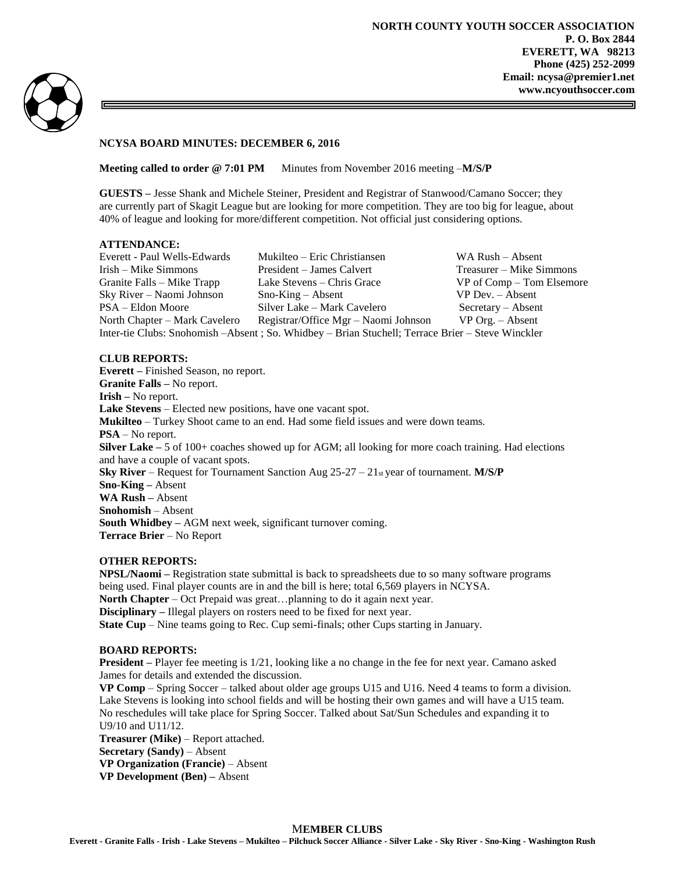**NORTH COUNTY YOUTH SOCCER ASSOCIATION P. O. Box 2844 EVERETT, WA 98213 Phone (425) 252-2099 Email: ncysa@premier1.net www.ncyouthsoccer.com**



### **NCYSA BOARD MINUTES: DECEMBER 6, 2016**

**Meeting called to order @ 7:01 PM** Minutes from November 2016 meeting -**M/S/P** 

**GUESTS –** Jesse Shank and Michele Steiner, President and Registrar of Stanwood/Camano Soccer; they are currently part of Skagit League but are looking for more competition. They are too big for league, about 40% of league and looking for more/different competition. Not official just considering options.

## **ATTENDANCE:**

| Everett - Paul Wells-Edwards                                                                      | Mukilteo - Eric Christiansen         | WA Rush – Absent          |
|---------------------------------------------------------------------------------------------------|--------------------------------------|---------------------------|
| Irish – Mike Simmons                                                                              | President – James Calvert            | Treasurer – Mike Simmons  |
| Granite Falls – Mike Trapp                                                                        | Lake Stevens – Chris Grace           | VP of Comp – Tom Elsemore |
| Sky River – Naomi Johnson                                                                         | $Sno-King - Absent$                  | $VP$ Dev. $-$ Absent      |
| PSA – Eldon Moore                                                                                 | Silver Lake – Mark Cavelero          | $S$ ecretary – Absent     |
| North Chapter – Mark Cavelero                                                                     | Registrar/Office Mgr – Naomi Johnson | $VP$ Org. $-$ Absent      |
| Inter-tie Clubs: Snohomish -Absent ; So. Whidbey - Brian Stuchell; Terrace Brier - Steve Winckler |                                      |                           |

## **CLUB REPORTS:**

**Everett –** Finished Season, no report. **Granite Falls –** No report. **Irish –** No report. **Lake Stevens** – Elected new positions, have one vacant spot. **Mukilteo** – Turkey Shoot came to an end. Had some field issues and were down teams. **PSA** – No report. **Silver Lake** – 5 of 100+ coaches showed up for AGM; all looking for more coach training. Had elections and have a couple of vacant spots. **Sky River** – Request for Tournament Sanction Aug 25-27 – 21st year of tournament. **M/S/P Sno-King –** Absent **WA Rush –** Absent **Snohomish** – Absent **South Whidbey –** AGM next week, significant turnover coming. **Terrace Brier** – No Report

#### **OTHER REPORTS:**

**NPSL/Naomi –** Registration state submittal is back to spreadsheets due to so many software programs being used. Final player counts are in and the bill is here; total 6,569 players in NCYSA. **North Chapter** – Oct Prepaid was great...planning to do it again next year. **Disciplinary –** Illegal players on rosters need to be fixed for next year. **State Cup** – Nine teams going to Rec. Cup semi-finals; other Cups starting in January.

#### **BOARD REPORTS:**

**President –** Player fee meeting is 1/21, looking like a no change in the fee for next year. Camano asked James for details and extended the discussion.

**VP Comp** – Spring Soccer – talked about older age groups U15 and U16. Need 4 teams to form a division. Lake Stevens is looking into school fields and will be hosting their own games and will have a U15 team. No reschedules will take place for Spring Soccer. Talked about Sat/Sun Schedules and expanding it to U9/10 and U11/12. **Treasurer (Mike)** – Report attached. **Secretary (Sandy)** – Absent **VP Organization (Francie)** – Absent **VP Development (Ben) –** Absent

# M**EMBER CLUBS**